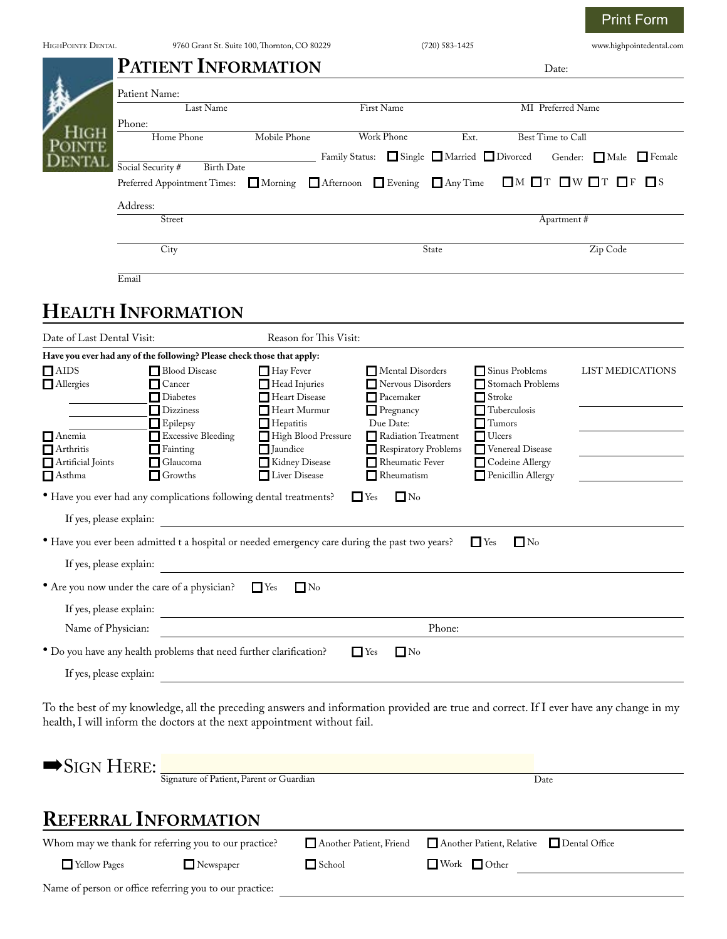| <b>HIGHPOINTE DENTAL</b>           | 9760 Grant St. Suite 100, Thornton, CO 80229 |                                                                                                |                                         |                | $(720) 583 - 1425$                   |                          |                                         |                                     | www.highpointedental.com                                                                                                              |  |
|------------------------------------|----------------------------------------------|------------------------------------------------------------------------------------------------|-----------------------------------------|----------------|--------------------------------------|--------------------------|-----------------------------------------|-------------------------------------|---------------------------------------------------------------------------------------------------------------------------------------|--|
|                                    |                                              | <b>PATIENT INFORMATION</b>                                                                     |                                         |                |                                      |                          |                                         | Date:                               |                                                                                                                                       |  |
|                                    | Patient Name:                                |                                                                                                |                                         |                |                                      |                          |                                         |                                     |                                                                                                                                       |  |
|                                    |                                              | Last Name                                                                                      |                                         |                | First Name                           |                          |                                         | MI Preferred Name                   |                                                                                                                                       |  |
|                                    | Phone:                                       | Home Phone                                                                                     | Mobile Phone                            |                | <b>Work Phone</b>                    |                          | Ext.                                    | Best Time to Call                   |                                                                                                                                       |  |
|                                    |                                              |                                                                                                |                                         | Family Status: |                                      |                          | Single Married Divorced                 | Gender:                             | $\Box$ Male $\Box$ Female                                                                                                             |  |
|                                    | Social Security #                            | <b>Birth Date</b><br>Preferred Appointment Times:                                              | $\Box$ Morning                          |                | Afternoon Evening                    | $\Box$ Any Time          |                                         | $\Box$ M $\Box$ T $\Box$ W $\Box$ T | $\Box$ S<br>$\Box$ F                                                                                                                  |  |
|                                    | Address:                                     |                                                                                                |                                         |                |                                      |                          |                                         |                                     |                                                                                                                                       |  |
|                                    | Street                                       |                                                                                                |                                         |                |                                      |                          | Apartment#                              |                                     |                                                                                                                                       |  |
|                                    |                                              | City                                                                                           |                                         |                |                                      | State                    |                                         |                                     | Zip Code                                                                                                                              |  |
|                                    | Email                                        |                                                                                                |                                         |                |                                      |                          |                                         |                                     |                                                                                                                                       |  |
|                                    |                                              |                                                                                                |                                         |                |                                      |                          |                                         |                                     |                                                                                                                                       |  |
|                                    |                                              | <b>HEALTH INFORMATION</b>                                                                      |                                         |                |                                      |                          |                                         |                                     |                                                                                                                                       |  |
| Date of Last Dental Visit:         |                                              |                                                                                                | Reason for This Visit:                  |                |                                      |                          |                                         |                                     |                                                                                                                                       |  |
| $\Box$ AIDS                        |                                              | Have you ever had any of the following? Please check those that apply:<br>Blood Disease        | Hay Fever                               |                | Mental Disorders                     |                          | Sinus Problems                          |                                     | LIST MEDICATIONS                                                                                                                      |  |
| $\Box$ Allergies                   |                                              | Cancer                                                                                         | Head Injuries                           |                | Nervous Disorders                    |                          | Stomach Problems                        |                                     |                                                                                                                                       |  |
|                                    |                                              | <b>Diabetes</b><br><b>Dizziness</b>                                                            | Heart Disease<br>Heart Murmur           |                | $\Box$ Pacemaker<br>$\Box$ Pregnancy |                          | $\Box$ Stroke<br>Tuberculosis           |                                     |                                                                                                                                       |  |
| $\Box$ Anemia                      |                                              | $\Box$ Epilepsy<br>Excessive Bleeding                                                          | $\Box$ Hepatitis<br>High Blood Pressure |                | Due Date:<br>Radiation Treatment     |                          | $\Box$ Tumors<br>$\blacksquare$ Ulcers  |                                     |                                                                                                                                       |  |
| $\Box$ Arthritis                   |                                              | $\Box$ Fainting                                                                                | $\Box$ Jaundice                         |                | Respiratory Problems                 |                          | Venereal Disease                        |                                     |                                                                                                                                       |  |
| Artificial Joints<br>$\Box$ Asthma |                                              | Glaucoma<br>$\Box$ Growths                                                                     | Kidney Disease<br>Liver Disease         |                | Rheumatic Fever<br>$\Box$ Rheumatism |                          | Codeine Allergy<br>Penicillin Allergy   |                                     |                                                                                                                                       |  |
|                                    |                                              | • Have you ever had any complications following dental treatments?                             |                                         |                | $\Box$ No<br>$\mathbf{L}$ Yes        |                          |                                         |                                     |                                                                                                                                       |  |
| If yes, please explain:            |                                              |                                                                                                |                                         |                |                                      |                          |                                         |                                     |                                                                                                                                       |  |
|                                    |                                              | • Have you ever been admitted t a hospital or needed emergency care during the past two years? |                                         |                |                                      |                          | $\Box$ Yes<br>$\Box$ No                 |                                     |                                                                                                                                       |  |
| If yes, please explain:            |                                              |                                                                                                |                                         |                |                                      |                          |                                         |                                     |                                                                                                                                       |  |
|                                    |                                              | • Are you now under the care of a physician? $\Box$ Yes                                        | $\Box$ No                               |                |                                      |                          |                                         |                                     |                                                                                                                                       |  |
|                                    |                                              | If yes, please explain:                                                                        |                                         |                |                                      |                          |                                         |                                     |                                                                                                                                       |  |
| Name of Physician:                 |                                              | <u> 1989 - Johann Stoff, fransk politik (d. 1989)</u>                                          |                                         |                |                                      | Phone:                   |                                         |                                     |                                                                                                                                       |  |
|                                    |                                              | • Do you have any health problems that need further clarification?                             |                                         |                | $\Box$ No<br>$\Box$ Yes              |                          |                                         |                                     |                                                                                                                                       |  |
|                                    |                                              | If yes, please explain:                                                                        |                                         |                |                                      |                          |                                         |                                     |                                                                                                                                       |  |
|                                    |                                              | health, I will inform the doctors at the next appointment without fail.                        |                                         |                |                                      |                          |                                         |                                     | To the best of my knowledge, all the preceding answers and information provided are true and correct. If I ever have any change in my |  |
| $\blacktriangleright$ Sign Here:   |                                              | Signature of Patient, Parent or Guardian                                                       |                                         |                |                                      |                          | Date                                    |                                     |                                                                                                                                       |  |
|                                    |                                              |                                                                                                |                                         |                |                                      |                          |                                         |                                     |                                                                                                                                       |  |
|                                    |                                              | <b>REFERRAL INFORMATION</b>                                                                    |                                         |                |                                      |                          |                                         |                                     |                                                                                                                                       |  |
|                                    |                                              | Whom may we thank for referring you to our practice?                                           |                                         |                | Another Patient, Friend              |                          | Another Patient, Relative Dental Office |                                     |                                                                                                                                       |  |
| Yellow Pages                       |                                              | $\Box$ Newspaper                                                                               |                                         | School         |                                      | $\Box$ Work $\Box$ Other |                                         |                                     |                                                                                                                                       |  |
|                                    |                                              | Name of person or office referring you to our practice:                                        |                                         |                |                                      |                          |                                         |                                     |                                                                                                                                       |  |

Print Form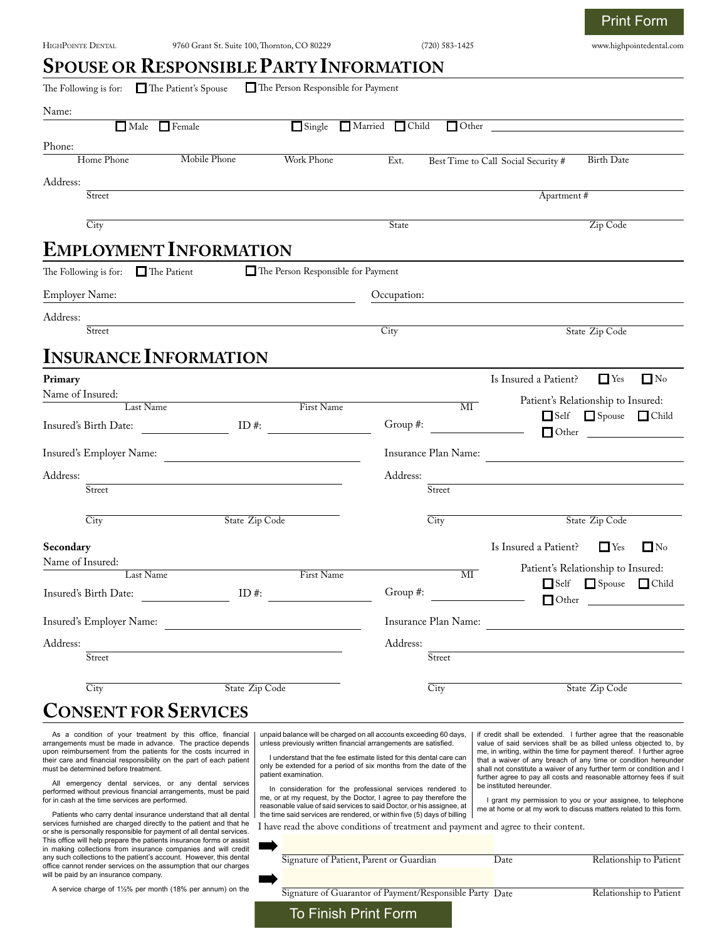Print Form

|                            | The Following is for: The Patient's Spouse | The Person Responsible for Payment |             |                            |                                     |                                    |  |
|----------------------------|--------------------------------------------|------------------------------------|-------------|----------------------------|-------------------------------------|------------------------------------|--|
| Name:                      |                                            |                                    |             |                            |                                     |                                    |  |
|                            | Male Female                                | Single Married Child               |             | $\Box$ Other               |                                     |                                    |  |
| Phone:                     |                                            |                                    |             |                            |                                     |                                    |  |
| Home Phone                 | Mobile Phone                               | Work Phone                         | Ext.        |                            | Best Time to Call Social Security # | <b>Birth Date</b>                  |  |
| Address:                   |                                            |                                    |             |                            | Apartment #                         |                                    |  |
| Street                     |                                            |                                    |             |                            |                                     |                                    |  |
| $\overline{City}$          |                                            |                                    | State       |                            |                                     | Zip Code                           |  |
|                            | <b>EMPLOYMENT INFORMATION</b>              |                                    |             |                            |                                     |                                    |  |
| The Following is for:      | The Patient                                | The Person Responsible for Payment |             |                            |                                     |                                    |  |
| <b>Employer Name:</b>      |                                            |                                    | Occupation: |                            |                                     |                                    |  |
| Address:                   |                                            |                                    |             |                            |                                     |                                    |  |
| Street                     |                                            |                                    | City        |                            |                                     | State Zip Code                     |  |
|                            | <b>INSURANCE INFORMATION</b>               |                                    |             |                            |                                     |                                    |  |
| Primary                    |                                            |                                    |             |                            | Is Insured a Patient?               | $\Box$ Yes<br>$\Box$ No            |  |
| Name of Insured:           | Last Name                                  | First Name                         |             | $\overline{\text{MI}}$     |                                     | Patient's Relationship to Insured: |  |
| Insured's Birth Date:      | ID#:                                       |                                    | Group #:    |                            |                                     | Self Spouse Child                  |  |
|                            |                                            |                                    |             |                            |                                     |                                    |  |
| Insured's Employer Name:   |                                            |                                    |             | Insurance Plan Name:       |                                     |                                    |  |
| Address:                   |                                            |                                    | Address:    |                            |                                     |                                    |  |
| Street                     |                                            |                                    |             | Street                     |                                     |                                    |  |
| City                       |                                            | State Zip Code                     |             | City                       |                                     | State Zip Code                     |  |
| Secondary                  |                                            |                                    |             |                            | Is Insured a Patient?               | $\Gamma$ Yes<br>$\Box$ No          |  |
| Name of Insured:           |                                            |                                    |             |                            |                                     | Patient's Relationship to Insured: |  |
|                            | Last Name                                  | First Name                         |             | $\overline{\text{MI}}$     |                                     | Self Spouse Child                  |  |
| Insured's Birth Date:      | ID#:                                       |                                    | Group #:    |                            |                                     |                                    |  |
|                            | Insured's Employer Name:                   |                                    |             |                            | Insurance Plan Name:                |                                    |  |
| Address:                   |                                            |                                    | Address:    |                            |                                     |                                    |  |
| $\overline{\text{Street}}$ |                                            |                                    |             | Street                     |                                     |                                    |  |
| $\overline{\mathrm{City}}$ | State Zip Code                             |                                    |             | $\overline{\mathrm{City}}$ |                                     | State Zip Code                     |  |
|                            | <b>CONSENT FOR SERVICES</b>                |                                    |             |                            |                                     |                                    |  |
|                            |                                            |                                    |             |                            |                                     |                                    |  |

All emergency dental services, or any dental services performed without previous financial arrangements, must be paid for in cash at the time services are performed.

must be determined before treatment.

Patients who carry dental insurance understand that all dental services furnished are charged directly to the patient and that he or she is personally responsible for payment of all dental services. This office will help prepare the patients insurance forms or assist in making collections from insurance companies and will credit any such collections to the patient's account. However, this dent office cannot render services on the assumption that our charge will be paid by an insurance company.

A service charge of  $1\frac{1}{2}\%$  per month (18% per annum) on the

I understand that the fee estimate listed for this dental care can only be extended for a period of six months from the date of the patient examination.

In consideration for the professional services rendered to me, or at my request, by the Doctor, I agree to pay therefore the reasonable value of said services to said Doctor, or his assignee, at the time said services are rendered, or within five (5) days of billing

a waiver of any breach of any shall not constitute a waiver of any further term or condition and I further agree to pay all costs and reasonable attorney fees if suit be instituted hereunder.

I grant my permission to you or your assignee, to telephone me at home or at my work to discuss matters related to this form.

I have read the above conditions of treatment and payment and agree to their content.

| .<br>ist<br>tit |                                                          |      |                         |
|-----------------|----------------------------------------------------------|------|-------------------------|
| al              | Signature of Patient, Parent or Guardian                 | Date | Relationship to Patient |
| ٦e              | Signature of Guarantor of Payment/Responsible Party Date |      | Relationship to Patient |